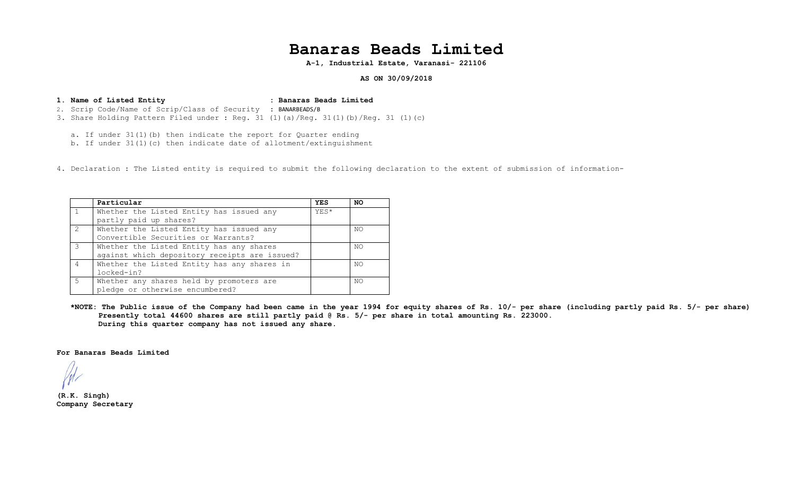## **Banaras Beads Limited**

**A-1, Industrial Estate, Varanasi- 221106**

**AS ON 30/09/2018**

**1. Name of Listed Entity : Banaras Beads Limited**  2. Scrip Code/Name of Scrip/Class of Security : BANARBEADS/B 3. Share Holding Pattern Filed under : Reg. 31 (1)(a)/Reg. 31(1)(b)/Reg. 31 (1)(c)

a. If under 31(1)(b) then indicate the report for Quarter ending

b. If under  $31(1)(c)$  then indicate date of allotment/extinguishment

4. Declaration : The Listed entity is required to submit the following declaration to the extent of submission of information-

|                | Particular                                    | <b>YES</b> | NO  |
|----------------|-----------------------------------------------|------------|-----|
|                | Whether the Listed Entity has issued any      | YES*       |     |
|                | partly paid up shares?                        |            |     |
| 2              | Whether the Listed Entity has issued any      |            | NO  |
|                | Convertible Securities or Warrants?           |            |     |
| $\mathcal{L}$  | Whether the Listed Entity has any shares      |            | NO. |
|                | against which depository receipts are issued? |            |     |
| $\overline{4}$ | Whether the Listed Entity has any shares in   |            | NO. |
|                | locked-in?                                    |            |     |
| -5             | Whether any shares held by promoters are      |            | NO. |
|                | pledge or otherwise encumbered?               |            |     |

**\*NOTE: The Public issue of the Company had been came in the year 1994 for equity shares of Rs. 10/- per share (including partly paid Rs. 5/- per share) Presently total 44600 shares are still partly paid @ Rs. 5/- per share in total amounting Rs. 223000. During this quarter company has not issued any share.** 

**For Banaras Beads Limited** 

**(R.K. Singh) Company Secretary**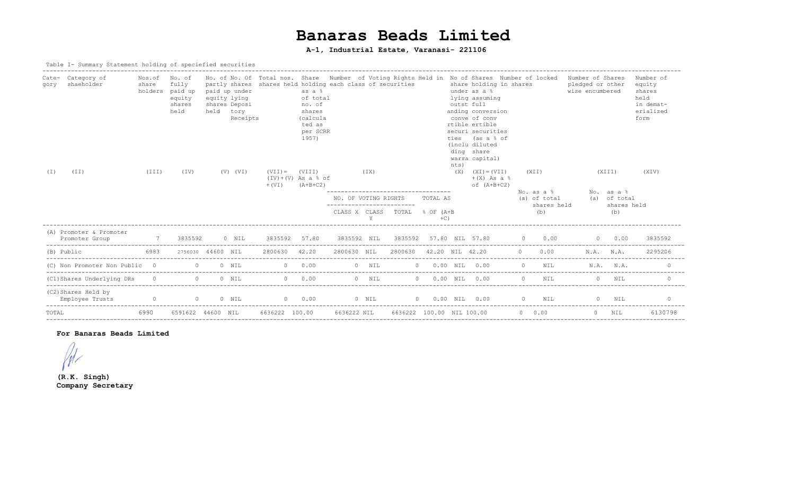# **Banaras Beads Limited**

## **A-1, Industrial Estate, Varanasi- 221106**

#### Table I- Summary Statement holding of speciefied securities

| Cate-<br>gory<br>(T) | Category of<br>shaeholder<br>(TI)         | Nos.of<br>share<br>(TII) | No. of<br>fully<br>holders paid up<br>equity<br>shares<br>held<br>(TV) | held     | paid up under<br>equity lying<br>shares Deposi<br>tory<br>Receipts<br>$(V)$ $(VI)$ | $(VII) =$<br>$+$ (VI) | as a %<br>of total<br>no. of<br>shares<br>(calcula<br>ted as<br>per SCRR<br>1957)<br>(VIII)<br>$(IV)+(V)$ As a $% of$<br>$(A+B+C2)$ | partly shares shares held holding each class of securities<br>(TX)<br>--------------------------------- |         |                                                          |                     | outst full<br>nts)<br>(X) | share holding in shares<br>under as a %<br>lying assuming<br>anding conversion<br>conve of conv<br>rtible ertible<br>securi securities<br>ties (as a % of<br>(inclu diluted<br>ding share<br>warra capital)<br>$(XI) = (VII)$<br>$+(X)$ As a $\frac{6}{3}$<br>of $(A+B+C2)$ | No. of No. Of Total nos. Share Number of Voting Rights Held in No of Shares Number of locked<br>(XII) |                              | Number of Shares<br>pledged or other<br>wise encumbered<br>(XIII) |                            | Number of<br>equity<br>shares<br>held<br>in demat-<br>erialized<br>form<br>(XIV) |
|----------------------|-------------------------------------------|--------------------------|------------------------------------------------------------------------|----------|------------------------------------------------------------------------------------|-----------------------|-------------------------------------------------------------------------------------------------------------------------------------|---------------------------------------------------------------------------------------------------------|---------|----------------------------------------------------------|---------------------|---------------------------|-----------------------------------------------------------------------------------------------------------------------------------------------------------------------------------------------------------------------------------------------------------------------------|-------------------------------------------------------------------------------------------------------|------------------------------|-------------------------------------------------------------------|----------------------------|----------------------------------------------------------------------------------|
|                      |                                           |                          |                                                                        |          |                                                                                    |                       |                                                                                                                                     | NO. OF VOTING RIGHTS                                                                                    |         |                                                          | TOTAL AS            |                           |                                                                                                                                                                                                                                                                             |                                                                                                       | $No. as a 8$<br>(a) of total |                                                                   | No. as a %<br>(a) of total |                                                                                  |
|                      |                                           |                          |                                                                        |          |                                                                                    |                       |                                                                                                                                     |                                                                                                         |         | -----------------------<br>CLASS X CLASS TOTAL % OF (A+B | $+C$ )              |                           |                                                                                                                                                                                                                                                                             |                                                                                                       | shares held<br>(b)           |                                                                   | shares held<br>(b)         |                                                                                  |
|                      | (A) Promoter & Promoter<br>Promoter Group | $\overline{7}$           | 3835592                                                                |          | 0 NIL                                                                              | 3835592 57.80         |                                                                                                                                     |                                                                                                         |         |                                                          |                     |                           | 3835592 NIL 3835592 57.80 NIL 57.80 0 0.00                                                                                                                                                                                                                                  |                                                                                                       |                              |                                                                   | $0 \t 0.00$                | 3835592                                                                          |
| (B) Public           |                                           | 6983                     | 2756030 44600 NIL                                                      |          |                                                                                    | 2800630 42.20         |                                                                                                                                     | 2800630 NIL                                                                                             |         | 2800630 42.20 NIL 42.20                                  |                     |                           |                                                                                                                                                                                                                                                                             | $\Omega$                                                                                              | 0.00                         |                                                                   | N.A. N.A.                  | 2295206                                                                          |
|                      | (C) Non Promoter Non Public 0             |                          | $\overline{a}$                                                         |          | $0$ NIL                                                                            |                       | $0 \t 0.00$                                                                                                                         |                                                                                                         | $0$ NIL |                                                          | $0$ 0.00 NIL 0.00   |                           |                                                                                                                                                                                                                                                                             |                                                                                                       | $0$ NIL                      |                                                                   | N.A. N.A.                  | $\Omega$                                                                         |
|                      | (C1) Shares Underlying DRs                | $\bigcap$                |                                                                        | $\Omega$ | $0$ NIL                                                                            |                       | $0 \t 0.00$                                                                                                                         |                                                                                                         | $0$ NIL |                                                          | $0 0.00$ NIL $0.00$ |                           |                                                                                                                                                                                                                                                                             |                                                                                                       | $\Omega$<br>NIL              |                                                                   | $0$ NIL                    | $\Omega$                                                                         |
|                      | (C2) Shares Held by<br>Employee Trusts    |                          | $\begin{matrix} 0 & 0 & 0 & \text{NIL} \end{matrix}$                   |          |                                                                                    |                       | $0 \t 0.00$                                                                                                                         |                                                                                                         | $0$ NIL |                                                          |                     |                           | $0 \t 0.00 \t \t \t \t \t \t \t 0.00$                                                                                                                                                                                                                                       |                                                                                                       | $0$ NIL                      | 0 NIL                                                             |                            |                                                                                  |
| TOTAL                |                                           | 6990                     | 6591622 44600 NIL                                                      |          |                                                                                    | 6636222 100.00        |                                                                                                                                     | 6636222 NIL                                                                                             |         | 6636222 100.00 NIL 100.00                                |                     |                           |                                                                                                                                                                                                                                                                             |                                                                                                       | $0 \t 0.00$                  |                                                                   | $0$ NIL                    | 6130798                                                                          |

#### **For Banaras Beads Limited**

 $/$ 

**(R.K. Singh) Company Secretary**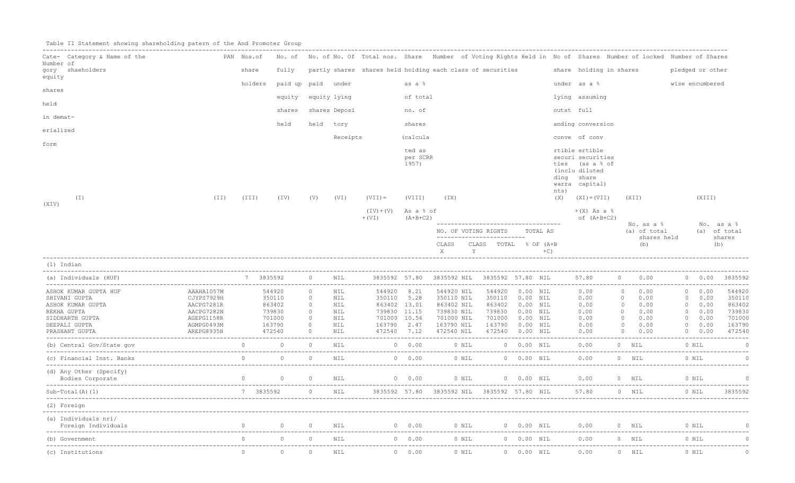|  |  |  |  | Table II Statement showing shareholding patern of the And Promoter Group |  |  |  |  |  |  |
|--|--|--|--|--------------------------------------------------------------------------|--|--|--|--|--|--|
|--|--|--|--|--------------------------------------------------------------------------|--|--|--|--|--|--|

| Cate- Category & Name of the            | PAN Nos.of               |                |                                   |                    |               | No. of No. of No. Of Total nos. Share Number of Voting Rights Held in No of Shares Number of locked Number of Shares |                             |                                             |                                                                                      |                                      |              |                                                                                                          |                |                                                         |                            |                            |
|-----------------------------------------|--------------------------|----------------|-----------------------------------|--------------------|---------------|----------------------------------------------------------------------------------------------------------------------|-----------------------------|---------------------------------------------|--------------------------------------------------------------------------------------|--------------------------------------|--------------|----------------------------------------------------------------------------------------------------------|----------------|---------------------------------------------------------|----------------------------|----------------------------|
| Number of<br>gory shaeholders<br>equity |                          | share          | fully                             |                    |               | partly shares shares held holding each class of securities                                                           |                             |                                             |                                                                                      |                                      |              | share holding in shares                                                                                  |                |                                                         | pledged or other           |                            |
|                                         |                          | holders        | paid up paid under                |                    |               |                                                                                                                      | as a %                      |                                             |                                                                                      |                                      |              | under as a %                                                                                             |                |                                                         | wise encumbered            |                            |
| shares                                  |                          |                | equity                            |                    | equity lying  |                                                                                                                      | of total                    |                                             |                                                                                      |                                      |              | lying assuming                                                                                           |                |                                                         |                            |                            |
| held                                    |                          |                | shares                            |                    | shares Deposi |                                                                                                                      | no. of                      |                                             |                                                                                      |                                      |              | outst full                                                                                               |                |                                                         |                            |                            |
| in demat-                               |                          |                | held                              |                    | held tory     |                                                                                                                      | shares                      |                                             |                                                                                      |                                      |              | anding conversion                                                                                        |                |                                                         |                            |                            |
| erialized                               |                          |                |                                   |                    |               |                                                                                                                      |                             |                                             |                                                                                      |                                      |              |                                                                                                          |                |                                                         |                            |                            |
| form                                    |                          |                |                                   |                    | Receipts      |                                                                                                                      | (calcula                    |                                             |                                                                                      |                                      |              | conve of conv                                                                                            |                |                                                         |                            |                            |
|                                         |                          |                |                                   |                    |               |                                                                                                                      | ted as<br>per SCRR<br>1957) |                                             |                                                                                      |                                      | nts)         | rtible ertible<br>securi securities<br>ties (as a % of<br>(inclu diluted<br>ding share<br>warra capital) |                |                                                         |                            |                            |
| $(\bot)$<br>(XIV)                       | (TI)                     | (TII)          | (TV)                              | (V)                | (VI)          | $(VII) =$                                                                                                            | (VIII)                      | (TX)                                        |                                                                                      |                                      |              | $(X)$ $(XI) = (VII)$                                                                                     |                | (XII)                                                   | (XIII)                     |                            |
|                                         |                          |                |                                   |                    |               | $(IV)+(V)$ As a $% of$<br>$+$ (VI)                                                                                   | $(A+B+C2)$                  |                                             |                                                                                      |                                      |              | $+(X)$ As a $%$<br>of $(A+B+C2)$                                                                         |                |                                                         |                            |                            |
|                                         |                          |                |                                   |                    |               |                                                                                                                      |                             |                                             | ______________________________________<br>NO. OF VOTING RIGHTS                       |                                      | TOTAL AS     |                                                                                                          |                | No. as a %<br>(a) of total                              |                            | No. as a %<br>(a) of total |
|                                         |                          |                |                                   |                    |               |                                                                                                                      |                             | CLASS<br>$X = 1$                            | --------------------------<br>CLASS TOTAL % OF (A+B<br>$\mathbf{Y}$ and $\mathbf{Y}$ |                                      | $+C$ )       |                                                                                                          |                | shares held<br>(b)                                      |                            | shares<br>(b)              |
| (1) Indian                              |                          |                |                                   |                    |               |                                                                                                                      |                             |                                             |                                                                                      |                                      |              |                                                                                                          |                |                                                         |                            |                            |
| (a) Individuals (HUF)                   | $7 \t3835592$ 0          |                |                                   |                    | NIL           |                                                                                                                      |                             | 3835592 57.80 3835592 NIL 3835592 57.80 NIL |                                                                                      |                                      |              |                                                                                                          |                | 57.80 0 0.00                                            |                            | 0 0.00 3835592             |
| ASHOK KUMAR GUPTA HUF                   | AAAHA1057M               |                | 544920                            | $\circ$            | NIL           | 544920 8.21                                                                                                          |                             | 544920 NIL                                  |                                                                                      | 544920 0.00 NIL                      |              | 0.00<br>0.00                                                                                             | $\overline{0}$ | 0.00                                                    | 0 0.00                     | 544920                     |
| SHIVANI GUPTA<br>ASHOK KUMAR GUPTA      | CJYPS7929H<br>AACPG7281R |                | 350110<br>863402                  | $\circ$<br>$\circ$ | NIL<br>NIL    | 350110 5.28<br>863402 13.01                                                                                          |                             | 350110 NIL<br>863402 NIL                    |                                                                                      | 350110  0.00 NIL<br>863402  0.00 NIL |              |                                                                                                          |                | 0 0.00                                                  | $0 \t 0.00$<br>$0 \t 0.00$ | 350110<br>863402           |
| REKHA GUPTA                             | AACPG7282N               |                | 739830                            | $\circ$            | NIL           | 739830 11.15                                                                                                         |                             | 739830 NIL                                  |                                                                                      | 739830  0.00  NIL                    |              | $0.00$ $0.00$ $0.00$<br>0.00 0 0.00<br>0.00                                                              |                |                                                         | $0 \t 0.00$                | 739830                     |
| SIDDHARTH GUPTA                         | AGEPG1158R               |                | 701000                            | $\circ$            | NIL           | 701000 10.56                                                                                                         |                             | 701000 NIL                                  | 701000                                                                               | $0.00$ NIL                           |              | 0.00                                                                                                     |                | $\begin{matrix}0&0.00\\0&0.00\end{matrix}$              | $0 \t 0.00$                | 701000                     |
| DEEPALI GUPTA                           | AGMPG0493M               |                | 163790                            | $\circ$            | NIL           | 163790 2.47                                                                                                          |                             | 163790 NIL                                  |                                                                                      | 163790  0.00  NIL                    |              | 0.00                                                                                                     |                |                                                         | 0 0.00                     | 163790                     |
| PRASHANT GUPTA                          | AREPG8935H               |                | 472540                            | $\circ$            | NIL           | 472540 7.12                                                                                                          |                             | 472540 NIL                                  |                                                                                      | 472540 0.00 NIL                      |              | 0.00                                                                                                     |                | $\begin{array}{ccc} & & 0 & & 0.00 \end{array}$         | 0 0.00                     | 472540                     |
|                                         |                          |                |                                   |                    |               |                                                                                                                      |                             |                                             |                                                                                      |                                      |              |                                                                                                          |                |                                                         |                            |                            |
|                                         |                          |                |                                   |                    |               |                                                                                                                      |                             |                                             |                                                                                      |                                      | $0 0.00$ NIL |                                                                                                          |                |                                                         |                            | $\overline{C}$             |
| (d) Any Other (Specify)                 |                          |                | $\begin{matrix}0&0&0\end{matrix}$ |                    |               | NIL                                                                                                                  |                             |                                             |                                                                                      |                                      |              |                                                                                                          |                | 0 0.00 0 NIL 0 0.00 NIL 0.00 0 NIL                      |                            | $\overline{C}$             |
| $Sub-Total(A) (1)$                      |                          |                | 7 3835592 0 NIL                   |                    |               |                                                                                                                      |                             |                                             |                                                                                      |                                      |              |                                                                                                          |                | 3835592 57.80 3835592 NIL 3835592 57.80 NIL 57.80 0 NIL | $0$ NIL                    | 3835592                    |
| (2) Foreign                             |                          |                |                                   |                    |               |                                                                                                                      |                             |                                             |                                                                                      |                                      |              |                                                                                                          |                |                                                         |                            |                            |
| (a) Individuals nri/                    |                          |                |                                   |                    |               |                                                                                                                      |                             |                                             |                                                                                      |                                      |              |                                                                                                          |                |                                                         |                            |                            |
| (b) Government                          |                          | $\overline{0}$ | $\Omega$                          | $\overline{0}$     | NIL           |                                                                                                                      | $0 \t 0.00$                 |                                             |                                                                                      |                                      |              | 0 NIL 0 0.00 NIL 0.00                                                                                    |                | $0$ NIL                                                 | 0 NIL                      | $\alpha$                   |
| (c) Institutions                        |                          | $\Omega$       | $\circ$                           | $\circ$            | NIL           |                                                                                                                      | $0 \t 0.00$                 | 0 NIL                                       |                                                                                      | $0 0.00$ NIL                         |              | 0.00                                                                                                     |                | $0$ NIL                                                 | 0 NIL                      | $\cap$                     |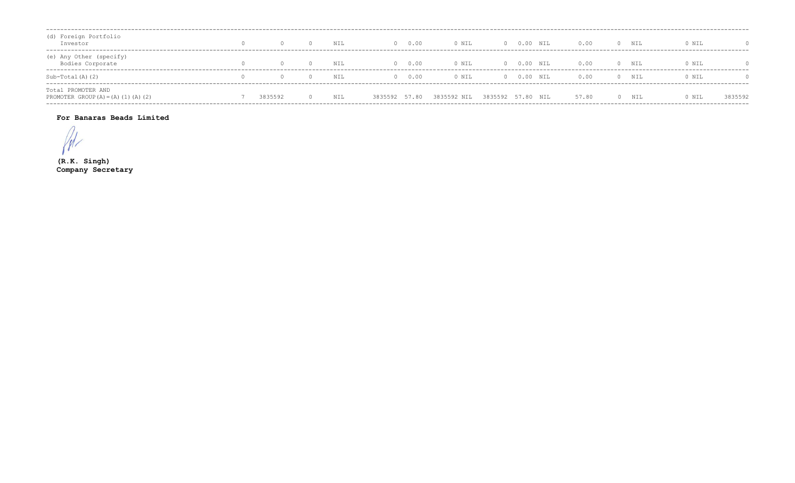| (d) Foreign Portfolio<br>Investor                            |         | NIL | $\Omega$      | 0.00 | 0 NIL       |                   | $0 0.00$ NIL | 0.00  | $\Omega$ | NIL   | 0 NIL |         |
|--------------------------------------------------------------|---------|-----|---------------|------|-------------|-------------------|--------------|-------|----------|-------|-------|---------|
| (e) Any Other (specify)<br>Bodies Corporate                  |         | NIL | $\cap$        | 0.00 | 0 NIL       |                   | $0 0.00$ NIL | 0.00  |          | 0 NIL | 0 NIL |         |
| Sub-Total (A) (2)                                            |         | NIL | $\cap$        | 0.00 | 0 NIL       |                   | $0 0.00$ NIL | 0.00  | $\Omega$ | NIL   | 0 NIL |         |
| Total PROMOTER AND<br>PROMOTER GROUP $(A) = (A) (1) (A) (2)$ | 3835592 | NIL | 3835592 57.80 |      | 3835592 NIL | 3835592 57.80 NIL |              | 57.80 |          | NIL   | 0 NIL | 3835592 |

### For Banaras Beads Limited

 $\mathcal{U}$ 

 $(R.K.$  Singh) Company Secretary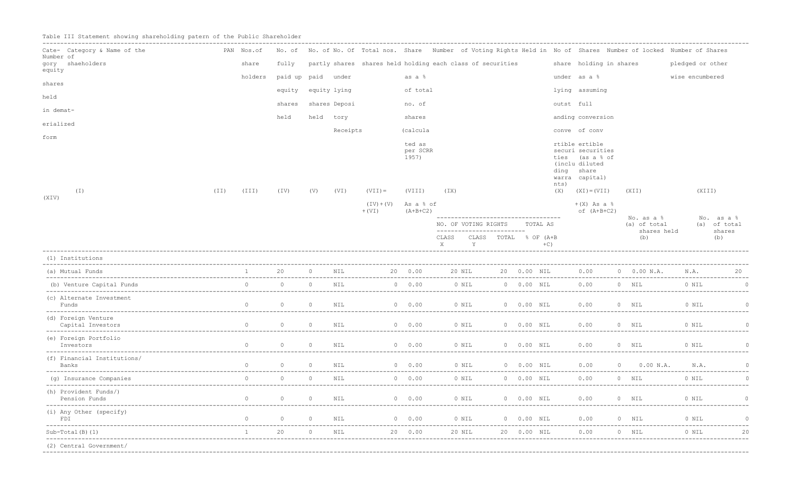Table III Statement showing shareholding patern of the Public Shareholder

| Cate- Category & Name of the             |      | PAN Nos.of     |                    |                |               |                          |                             | No. of No. of No. Of Total nos. Share Number of Voting Rights Held in No of Shares Number of locked Number of Shares |                       |               |             |                                                                                                     |                                   |             |                  |                                             |
|------------------------------------------|------|----------------|--------------------|----------------|---------------|--------------------------|-----------------------------|----------------------------------------------------------------------------------------------------------------------|-----------------------|---------------|-------------|-----------------------------------------------------------------------------------------------------|-----------------------------------|-------------|------------------|---------------------------------------------|
| Number of                                |      |                |                    |                |               |                          |                             |                                                                                                                      |                       |               |             |                                                                                                     |                                   |             |                  |                                             |
| gory shaeholders<br>equity               |      | share          | fully              |                |               |                          |                             | partly shares shares held holding each class of securities                                                           |                       |               |             | share holding in shares                                                                             |                                   |             | pledged or other |                                             |
| shares                                   |      | holders        | paid up paid under |                |               |                          | as a %                      |                                                                                                                      |                       |               |             | under as a %                                                                                        |                                   |             | wise encumbered  |                                             |
| held                                     |      |                | equity             |                | equity lying  |                          | of total                    |                                                                                                                      |                       |               |             | lying assuming                                                                                      |                                   |             |                  |                                             |
|                                          |      |                | shares             |                | shares Deposi |                          | no. of                      |                                                                                                                      |                       |               |             | outst full                                                                                          |                                   |             |                  |                                             |
| in demat-                                |      |                | held               |                | held tory     |                          | shares                      |                                                                                                                      |                       |               |             | anding conversion                                                                                   |                                   |             |                  |                                             |
| erialized                                |      |                |                    |                | Receipts      |                          | (calcula                    |                                                                                                                      |                       |               |             | conve of conv                                                                                       |                                   |             |                  |                                             |
| form                                     |      |                |                    |                |               |                          | ted as<br>per SCRR<br>1957) |                                                                                                                      |                       |               | ties        | rtible ertible<br>securi securities<br>(as a % of<br>(inclu diluted<br>ding share<br>warra capital) |                                   |             |                  |                                             |
| ( I )                                    | (TI) | (III)          | (TV)               | (V)            | (VI)          | $(VII) =$                | (VIII)                      | (TX)                                                                                                                 |                       |               | nts)<br>(X) | $(XI) = (VII)$                                                                                      | (XII)                             |             | (XIII)           |                                             |
| (XIV)                                    |      |                |                    |                |               | $(IV) + (V)$<br>$+$ (VI) | As a % of<br>$(A+B+C2)$     |                                                                                                                      |                       |               |             | $+(X)$ As a $%$<br>of $(A+B+C2)$                                                                    |                                   |             |                  |                                             |
|                                          |      |                |                    |                |               |                          |                             | ------------------------------------<br>NO. OF VOTING RIGHTS<br>--------------------------<br>CLASS                  | CLASS TOTAL % OF (A+B |               | TOTAL AS    |                                                                                                     | No. as a %<br>(a) of total<br>(b) | shares held |                  | No. as a %<br>(a) of total<br>shares<br>(b) |
|                                          |      |                |                    |                |               |                          |                             | X<br>Y                                                                                                               |                       |               | $+C$ )      |                                                                                                     |                                   |             |                  |                                             |
| (1) Institutions                         |      |                |                    |                |               |                          |                             |                                                                                                                      |                       |               |             |                                                                                                     |                                   |             |                  |                                             |
| (a) Mutual Funds                         |      |                | 20                 | $\Omega$       | NIL           |                          | 20 0.00                     | 20 NIL                                                                                                               |                       | 20  0.00  NIL |             | 0.00                                                                                                | $0$ 0.00 N.A.                     |             | N.A.             | 20                                          |
| (b) Venture Capital Funds                |      | $\Omega$       | $\circ$            | $\circ$        | NIL           |                          | $0 \t 0.00$                 | 0 NIL                                                                                                                |                       | 0 0.00 NIL    |             | 0.00                                                                                                | $0$ NIL                           |             | 0 NIL            | $\Omega$                                    |
| (c) Alternate Investment<br>Funds        |      | $\Omega$       | $\overline{0}$     | $\overline{0}$ | NIL           |                          | 0 0.00                      | $0$ NIL                                                                                                              |                       | 0 0.00 NIL    |             | 0.00                                                                                                | $0$ NIL                           |             | 0 NIL            | $\Omega$                                    |
| (d) Foreign Venture<br>Capital Investors |      | $\Omega$       | $\circ$            | $\circ$        | NIL           |                          | $0 \t 0.00$                 | 0 NIL                                                                                                                | $00.00$ NIL           |               |             | 0.00                                                                                                | 0 NIL                             |             | 0 NIL            | $\circ$                                     |
| (e) Foreign Portfolio<br>Investors       |      | $\overline{0}$ | $\circ$            | $\overline{0}$ | NIL           |                          | $0 \t 0.00$                 | 0 NIL                                                                                                                |                       | 0 0.00 NIL    |             | 0.00                                                                                                | $0$ NIL                           |             | 0 NIL            | $\Omega$                                    |
| (f) Financial Institutions/<br>Banks     |      | $\Omega$       | $\circ$            | $\overline{0}$ | NIL           |                          | 0 0.00                      | 0 NIL                                                                                                                |                       | 0 0.00 NIL    |             | 0.00                                                                                                | $\sim$ 0                          | $0.00$ N.A. | N.A.             | $\Omega$                                    |
| (q) Insurance Companies                  |      | $\Omega$       | $\Omega$           | $\Omega$       | NIL           |                          | $0 \t 0.00$                 | 0 NIL                                                                                                                |                       | 0 0.00 NIL    |             | 0.00                                                                                                | $0$ NIL                           |             | 0 NIL            |                                             |
| (h) Provident Funds/)<br>Pension Funds   |      |                | $\circ$            | $\Omega$       | NIL           |                          | $0 \t 0.00$                 | 0 NIL                                                                                                                |                       | 0 0.00 NIL    |             | 0.00                                                                                                | 0 NIL                             |             | 0 NIL            |                                             |
| (i) Any Other (specify)<br>FDI           |      | $\circ$        | $\circ$            | $\circ$        | NIL           |                          | 0 0.00                      | 0 NIL                                                                                                                |                       | 0 0.00 NIL    |             | 0.00                                                                                                | 0 NIL                             |             | 0 NIL            |                                             |
| $Sub-Total(B) (1)$                       |      |                | 20                 | $\Omega$       | NIL           |                          | 20 0.00                     | 20 NIL                                                                                                               |                       | 20  0.00  NIL |             | 0.00                                                                                                | $0$ NIL                           |             | 0 NIL            | -----------------<br>20                     |
| (2) Central Government/                  |      |                |                    |                |               |                          |                             |                                                                                                                      |                       |               |             |                                                                                                     |                                   |             |                  |                                             |
|                                          |      |                |                    |                |               |                          |                             |                                                                                                                      |                       |               |             |                                                                                                     |                                   |             |                  |                                             |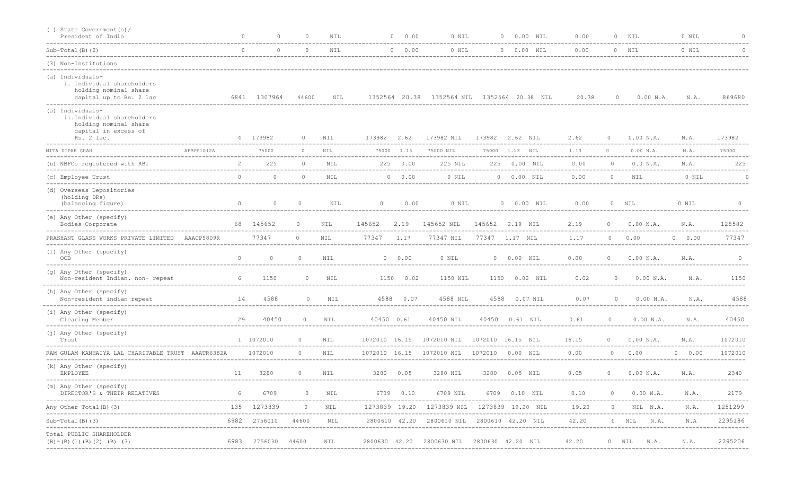| () State Government(s)/<br>President of India                                                                 |            | $\Omega$       | $\Omega$      | $\bigcap$ | NIL        | $\Omega$                                               | 0.00 | 0 NIL<br>--------------------------------   |        | 0 0.00 NIL        | 0.00                                       |                | $0$ NIL       | 0 NIL       | $\cap$               |
|---------------------------------------------------------------------------------------------------------------|------------|----------------|---------------|-----------|------------|--------------------------------------------------------|------|---------------------------------------------|--------|-------------------|--------------------------------------------|----------------|---------------|-------------|----------------------|
| $Sub-Total(B) (2)$                                                                                            |            | $\cap$         | $\Omega$      | $\Omega$  | NIL        | 0 0.00                                                 |      | 0 NIL                                       |        | 0 0.00 NIL        | 0.00                                       |                | $0$ NIL       | 0 NIL       | $\Omega$             |
| (3) Non-Institutions                                                                                          |            |                |               |           |            |                                                        |      |                                             |        |                   |                                            |                |               |             |                      |
| (a) Individuals-<br>i. Individual shareholders<br>holding nominal share<br>capital up to Rs. 2 lac            |            |                | 6841 1307964  | 44600     | NIL        | 1352564 20.38                                          |      | 1352564 NIL                                 |        | 1352564 20.38 NIL | 20.38                                      | $\circ$        | 0.00 N.A.     | N.A.        | 869680               |
| (a) Individuals-<br>ii.Individual shareholders<br>holding nominal share<br>capital in excess of<br>Rs. 2 lac. |            | $\overline{4}$ | 173982        | $\circ$   | NIL        | 173982<br>2.62                                         |      | 173982 NIL                                  | 173982 | 2.62 NIL          | 2.62                                       | $\circ$        | 0.00 N.A.     | N.A.        | 173982               |
| MITA DIPAK SHAH                                                                                               | AFBPS1012A |                | 75000         | $\circ$   | NIL        | 75000<br>1.13                                          |      | 75000 NIL                                   | 75000  | 1.13 NIL          | 1.13                                       | $\Omega$       | 0.00 N.A.     | N.A.        | 75000                |
| (b) NBFCs registered with RBI                                                                                 |            |                | 225           | $\Omega$  | NIL        | 225 0.00                                               |      | 225 NIL                                     |        | 225  0.00  NIL    | 0.00                                       | $\Omega$       | 0.0 N.A.      | N.A.        | 225                  |
| (c) Employee Trust                                                                                            |            | $\cap$         | $\Omega$      | $\Omega$  | <b>NIL</b> | $0 \t 0.00$                                            |      | 0 NIL                                       |        | 0 0.00 NIL        | 0.00                                       | $\Omega$       | <b>NIL</b>    | 0 NIL       |                      |
| (d) Overseas Depositories<br>(holding DRs)<br>(balancing figure)                                              |            | $\circ$        | $\circ$       | $\circ$   | NIL        | $\circ$                                                | 0.00 | 0 NIL                                       |        | 0 0.00 NIL        | 0.00                                       |                | $0$ NIL       | 0 NIL       | $\Omega$             |
| (e) Any Other (specify)<br>Bodies Corporate                                                                   |            |                | 68 145652     | $\circ$   | <b>NIL</b> | 145652<br>2.19                                         |      | 145652 NIL                                  |        | 145652 2.19 NIL   | 2.19                                       | $\Omega$       | 0.00 N.A.     | N.A.        | 128582               |
| PRASHANT GLASS WORKS PRIVATE LIMITED                                                                          | AAACP5809R |                | 77347         | $\Omega$  | <b>NIL</b> | 77347<br>1.17                                          |      | 77347 NIL                                   |        | 77347 1.17 NIL    | 1.17                                       |                | $0 \t 0.00$   | $0 \t 0.00$ | 77347                |
| (f) Any Other (specify)<br>OCB                                                                                |            | $\Omega$       | $\circ$       | $\circ$   | NIL        | 0 0.00                                                 |      | 0 NIL                                       |        | 0 0.00 NIL        | 0.00                                       | $\Omega$       | 0.00 N.A.     | N.A.        | $\circ$              |
| (g) Any Other (specify)<br>Non-resident Indian. non- repeat                                                   |            | 6              | 1150          | $\circ$   | NIL        | 1150 0.02                                              |      | 1150 NIL                                    |        | 1150  0.02  NIL   | 0.02                                       | $\Omega$       | 0.00 N.A.     | N.A.        | 1150                 |
| (h) Any Other (specify)<br>Non-resident indian repeat                                                         |            | 14             | 4588          | $\circ$   | NIL        | 4588 0.07                                              |      | 4588 NIL                                    | 4588   | $0.07$ NIL        | 0.07                                       | $\circ$        | 0.00 N.A.     | N.A.        | 4588                 |
| (i) Any Other (specify)<br>Clearing Member                                                                    |            | 29             | 40450         | $\circ$   | NIL        | 40450 0.61                                             |      | 40450 NIL                                   |        | 40450  0.61  NIL  | 0.61                                       | $\Omega$       | 0.00 N.A.     | N.A.        | 40450                |
| (j) Any Other (specify)<br>Trust                                                                              |            |                | 1 1072010     | $\circ$   | NIL        | 1072010 16.15<br>. _ _ _ _ _ _ _ _ _ _ _ _ _ _ _ _ _ _ |      | 1072010 NIL 1072010 16.15 NIL               |        |                   | 16.15<br>--------------------------------- | $\Omega$       | 0.00 N.A.     | N.A.        | 1072010              |
| RAM GULAM KANHAIYA LAL CHARITABLE TRUST AAATR6382A                                                            |            |                | 1072010       | $\circ$   | NIL        |                                                        |      | 1072010 16.15 1072010 NIL 1072010 0.00 NIL  |        |                   | 0.00                                       | $\Omega$       | 0.00          | $0 \t 0.00$ | 1072010              |
| (k) Any Other (specify)<br>EMPLOYEE                                                                           |            | 11             | 3280          | $\circ$   | NIL        | 3280 0.05                                              |      | 3280 NIL                                    |        | 3280 0.05 NIL     | 0.05                                       | $\overline{0}$ | 0.00 N.A.     | N.A.        | 2340                 |
| (m) Any Other (specify)<br>DIRECTOR'S & THEIR RELATIVES                                                       |            | 6              | 6709          | $\circ$   | NIL        | 6709 0.10                                              |      | 6709 NIL                                    |        | 6709  0.10  NIL   | 0.10                                       | $\circ$        | 0.00 N.A.     | N.A.        | 2179<br>------------ |
| Any Other Total (B) (3)                                                                                       |            |                | 135 1273839   | $\circ$   | NIL        | 1273839 19.20                                          |      | 1273839 NIL                                 |        | 1273839 19.20 NIL | 19.20                                      | $\circ$        | NIL N.A.      | N.A.        | 1251299              |
| Sub-Total(B)(3)                                                                                               |            | 6982           | 2756010       | 44600     | NIL        |                                                        |      | 2800610 42.20 2800610 NIL 2800610 42.20 NIL |        |                   | 42.20                                      |                | 0 NIL<br>N.A. | N.A         | 2295186              |
| ------------------<br>Total PUBLIC SHAREHOLDER<br>$(B) = (B) (1) (B) (2) (B) (3)$                             |            | 6983           | 2756030 44600 |           | NIL        | 2800630 42.20                                          |      | 2800630 NIL 2800630 42.20 NIL               |        |                   | 42.20                                      |                | 0 NIL<br>N.A. | N.A.        | 2295206              |